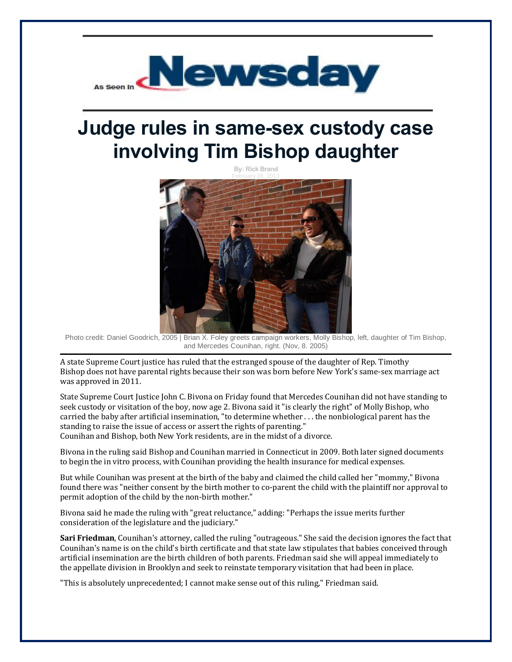

## **Judge rules in same-sex custody case involving Tim Bishop daughter**



Photo credit: Daniel Goodrich, 2005 | Brian X. Foley greets campaign workers, Molly Bishop, left, [daughter of T](http://www.metisgroupllc.com/)im Bishop, and Mercedes Counihan, right. (Nov, 8. 2005)

A state Supreme Court justice has ruled that the estranged spouse of the daughter of Rep. Timothy Bishop does not have parental rights because their son was born before New York's same-sex marriage act was approved in 2011.

State Supreme Court Justice John C. Bivona on Friday found that Mercedes Counihan did not have standing to seek custody or visitation of the boy, now age 2. Bivona said it "is clearly the right" of Molly Bishop, who carried the baby after artificial insemination, "to determine whether . . . the nonbiological parent has the standing to raise the issue of access or assert the rights of parenting." Counihan and Bishop, both New York residents, are in the midst of a divorce.

Bivona in the ruling said Bishop and Couni[han marrie](http://mcgladrey.com/)d in Connecticut in 2009. Both later signed documents to begin the in vitro process, with Counihan providing the health insurance for medical expenses.

But while Counihan was present at the birth of the baby and claimed the child called her "mommy," Bivona found there was "neither consent by the birth mother to co-parent the child with the plaintiff nor approval to permit adoption of the child by the non-birth mother."

Bivona said he made the ruling with "great reluctance," adding: "Perhaps the issue merits further consideration of the legislature and the judiciary."

**Sari Friedman**, Counihan's attorney, called the ruling "outrageous." She said the decision ignores the fact that Counihan's name is on the child's birth certificate and that state law stipulates that babies conceived through artificial insemination are the birth children of both parents. Friedman said she will appeal immediately to the appellate division in Brooklyn and seek to reinstate temporary visitation that had been in place.

"This is absolutely unprecedented; I cannot make sense out of this ruling," Friedman said.